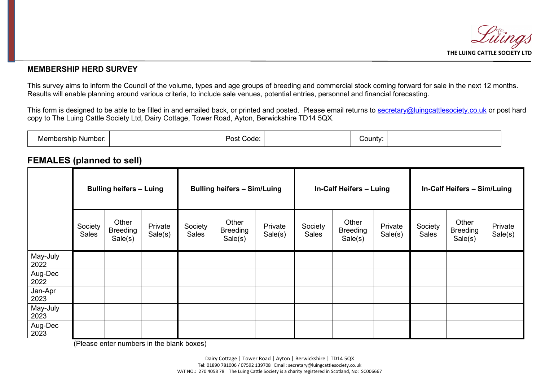

## $\overline{a}$ **MEMBERSHIP HERD SURVEY**

This survey aims to inform the Council of the volume, types and age groups of breeding and commercial stock coming forward for sale in the next 12 months. Results will enable planning around various criteria, to include sale venues, potential entries, personnel and financial forecasting.

This form is designed to be able to be filled in and emailed back, or printed and posted. Please email returns to [secretary@luingcattlesociety.co.uk](mailto:secretary@luingcattlesociety.co.uk) or post hard copy to The Luing Cattle Society Ltd, Dairy Cottage, Tower Road, Ayton, Berwickshire TD14 5QX.

| nbership<br>Number<br>∍viemn |  | פס−<br>Code |  | ∵ountyٽ |  |
|------------------------------|--|-------------|--|---------|--|
|------------------------------|--|-------------|--|---------|--|

## **FEMALES (planned to sell)**

|                  | <b>Bulling heifers - Luing</b> |                                     | <b>Bulling heifers - Sim/Luing</b> |                  |                                     | In-Calf Heifers - Luing |                  |                                     | In-Calf Heifers - Sim/Luing |                  |                                     |                    |
|------------------|--------------------------------|-------------------------------------|------------------------------------|------------------|-------------------------------------|-------------------------|------------------|-------------------------------------|-----------------------------|------------------|-------------------------------------|--------------------|
|                  | Society<br><b>Sales</b>        | Other<br><b>Breeding</b><br>Sale(s) | Private<br>Sale(s)                 | Society<br>Sales | Other<br><b>Breeding</b><br>Sale(s) | Private<br>Sale(s)      | Society<br>Sales | Other<br><b>Breeding</b><br>Sale(s) | Private<br>Sale(s)          | Society<br>Sales | Other<br><b>Breeding</b><br>Sale(s) | Private<br>Sale(s) |
| May-July<br>2022 |                                |                                     |                                    |                  |                                     |                         |                  |                                     |                             |                  |                                     |                    |
| Aug-Dec<br>2022  |                                |                                     |                                    |                  |                                     |                         |                  |                                     |                             |                  |                                     |                    |
| Jan-Apr<br>2023  |                                |                                     |                                    |                  |                                     |                         |                  |                                     |                             |                  |                                     |                    |
| May-July<br>2023 |                                |                                     |                                    |                  |                                     |                         |                  |                                     |                             |                  |                                     |                    |
| Aug-Dec<br>2023  |                                |                                     |                                    |                  |                                     |                         |                  |                                     |                             |                  |                                     |                    |

(Please enter numbers in the blank boxes)